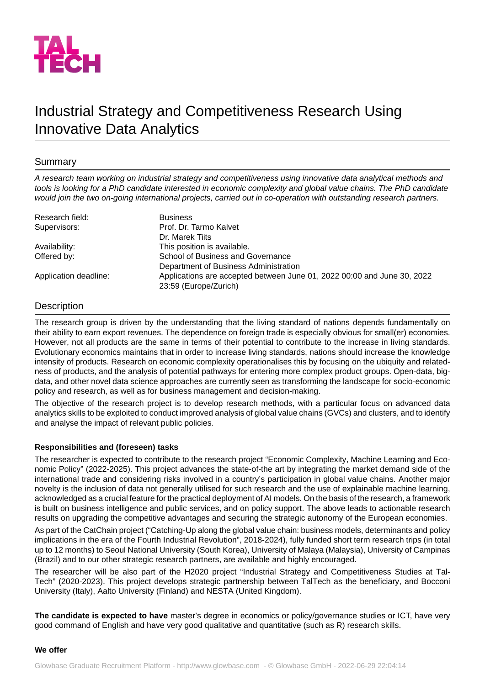

# Industrial Strategy and Competitiveness Research Using Innovative Data Analytics

# Summary

*A research team working on industrial strategy and competitiveness using innovative data analytical methods and tools is looking for a PhD candidate interested in economic complexity and global value chains. The PhD candidate would join the two on-going international projects, carried out in co-operation with outstanding research partners.*

| Research field:       | <b>Business</b>                                                                                  |
|-----------------------|--------------------------------------------------------------------------------------------------|
| Supervisors:          | Prof. Dr. Tarmo Kalvet                                                                           |
|                       | Dr. Marek Tiits                                                                                  |
| Availability:         | This position is available.                                                                      |
| Offered by:           | School of Business and Governance                                                                |
|                       | Department of Business Administration                                                            |
| Application deadline: | Applications are accepted between June 01, 2022 00:00 and June 30, 2022<br>23:59 (Europe/Zurich) |

## **Description**

The research group is driven by the understanding that the living standard of nations depends fundamentally on their ability to earn export revenues. The dependence on foreign trade is especially obvious for small(er) economies. However, not all products are the same in terms of their potential to contribute to the increase in living standards. Evolutionary economics maintains that in order to increase living standards, nations should increase the knowledge intensity of products. Research on economic complexity operationalises this by focusing on the ubiquity and relatedness of products, and the analysis of potential pathways for entering more complex product groups. Open-data, bigdata, and other novel data science approaches are currently seen as transforming the landscape for socio-economic policy and research, as well as for business management and decision-making.

The objective of the research project is to develop research methods, with a particular focus on advanced data analytics skills to be exploited to conduct improved analysis of global value chains (GVCs) and clusters, and to identify and analyse the impact of relevant public policies.

### **Responsibilities and (foreseen) tasks**

The researcher is expected to contribute to the research project "Economic Complexity, Machine Learning and Economic Policy" (2022-2025). This project advances the state-of-the art by integrating the market demand side of the international trade and considering risks involved in a country's participation in global value chains. Another major novelty is the inclusion of data not generally utilised for such research and the use of explainable machine learning, acknowledged as a crucial feature for the practical deployment of AI models. On the basis of the research, a framework is built on business intelligence and public services, and on policy support. The above leads to actionable research results on upgrading the competitive advantages and securing the strategic autonomy of the European economies.

As part of the CatChain project ("Catching-Up along the global value chain: business models, determinants and policy implications in the era of the Fourth Industrial Revolution", 2018-2024), fully funded short term research trips (in total up to 12 months) to Seoul National University (South Korea), University of Malaya (Malaysia), University of Campinas (Brazil) and to our other strategic research partners, are available and highly encouraged.

The researcher will be also part of the H2020 project "Industrial Strategy and Competitiveness Studies at Tal-Tech" (2020-2023). This project develops strategic partnership between TalTech as the beneficiary, and Bocconi University (Italy), Aalto University (Finland) and NESTA (United Kingdom).

**The candidate is expected to have** master's degree in economics or policy/governance studies or ICT, have very good command of English and have very good qualitative and quantitative (such as R) research skills.

#### **We offer**